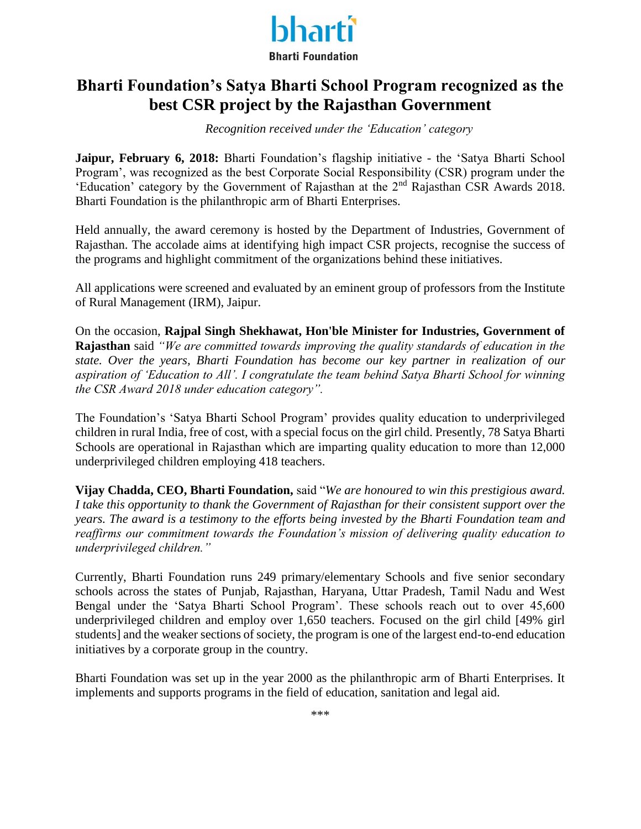

## **Bharti Foundation's Satya Bharti School Program recognized as the best CSR project by the Rajasthan Government**

*Recognition received under the 'Education' category*

**Jaipur, February 6, 2018:** Bharti Foundation's flagship initiative - the 'Satya Bharti School Program', was recognized as the best Corporate Social Responsibility (CSR) program under the 'Education' category by the Government of Rajasthan at the 2nd Rajasthan CSR Awards 2018. Bharti Foundation is the philanthropic arm of Bharti Enterprises.

Held annually, the award ceremony is hosted by the Department of Industries, Government of Rajasthan. The accolade aims at identifying high impact CSR projects, recognise the success of the programs and highlight commitment of the organizations behind these initiatives.

All applications were screened and evaluated by an eminent group of professors from the Institute of Rural Management (IRM), Jaipur.

On the occasion, **Rajpal Singh Shekhawat, Hon'ble Minister for Industries, Government of Rajasthan** said *"We are committed towards improving the quality standards of education in the state. Over the years, Bharti Foundation has become our key partner in realization of our aspiration of 'Education to All'. I congratulate the team behind Satya Bharti School for winning the CSR Award 2018 under education category".* 

The Foundation's 'Satya Bharti School Program' provides quality education to underprivileged children in rural India, free of cost, with a special focus on the girl child. Presently, 78 Satya Bharti Schools are operational in Rajasthan which are imparting quality education to more than 12,000 underprivileged children employing 418 teachers.

**Vijay Chadda, CEO, Bharti Foundation,** said "*We are honoured to win this prestigious award. I take this opportunity to thank the Government of Rajasthan for their consistent support over the years. The award is a testimony to the efforts being invested by the Bharti Foundation team and reaffirms our commitment towards the Foundation's mission of delivering quality education to underprivileged children."*

Currently, Bharti Foundation runs 249 primary/elementary Schools and five senior secondary schools across the states of Punjab, Rajasthan, Haryana, Uttar Pradesh, Tamil Nadu and West Bengal under the 'Satya Bharti School Program'. These schools reach out to over 45,600 underprivileged children and employ over 1,650 teachers. Focused on the girl child [49% girl students] and the weaker sections of society, the program is one of the largest end-to-end education initiatives by a corporate group in the country.

Bharti Foundation was set up in the year 2000 as the philanthropic arm of Bharti Enterprises. It implements and supports programs in the field of education, sanitation and legal aid.